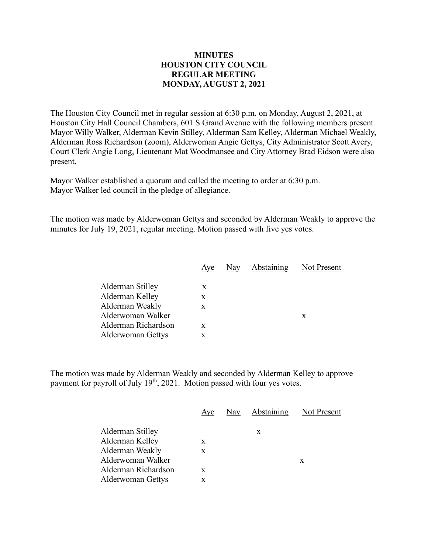## **MINUTES HOUSTON CITY COUNCIL REGULAR MEETING MONDAY, AUGUST 2, 2021**

The Houston City Council met in regular session at 6:30 p.m. on Monday, August 2, 2021, at Houston City Hall Council Chambers, 601 S Grand Avenue with the following members present Mayor Willy Walker, Alderman Kevin Stilley, Alderman Sam Kelley, Alderman Michael Weakly, Alderman Ross Richardson (zoom), Alderwoman Angie Gettys, City Administrator Scott Avery, Court Clerk Angie Long, Lieutenant Mat Woodmansee and City Attorney Brad Eidson were also present.

Mayor Walker established a quorum and called the meeting to order at 6:30 p.m. Mayor Walker led council in the pledge of allegiance.

The motion was made by Alderwoman Gettys and seconded by Alderman Weakly to approve the minutes for July 19, 2021, regular meeting. Motion passed with five yes votes.

|                          | Aye | Nay Abstaining Not Present |   |
|--------------------------|-----|----------------------------|---|
| Alderman Stilley         | X   |                            |   |
| Alderman Kelley          | X   |                            |   |
| Alderman Weakly          | X   |                            |   |
| Alderwoman Walker        |     |                            | X |
| Alderman Richardson      | X   |                            |   |
| <b>Alderwoman Gettys</b> | x   |                            |   |
|                          |     |                            |   |

The motion was made by Alderman Weakly and seconded by Alderman Kelley to approve payment for payroll of July 19<sup>th</sup>, 2021. Motion passed with four yes votes.

|                          | Aye | Nay Abstaining Not Present |   |
|--------------------------|-----|----------------------------|---|
| Alderman Stilley         |     | X                          |   |
| Alderman Kelley          | X   |                            |   |
| Alderman Weakly          | X   |                            |   |
| Alderwoman Walker        |     |                            | X |
| Alderman Richardson      | X   |                            |   |
| <b>Alderwoman Gettys</b> |     |                            |   |
|                          |     |                            |   |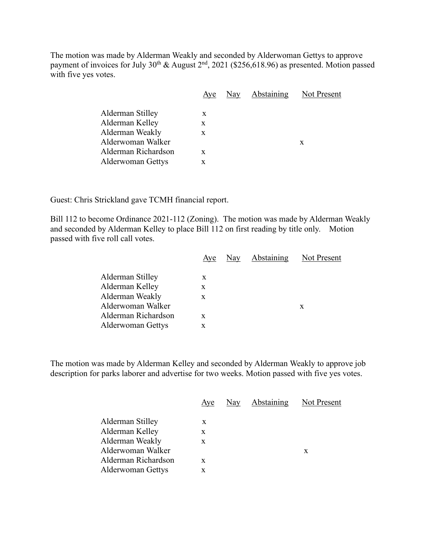The motion was made by Alderman Weakly and seconded by Alderwoman Gettys to approve payment of invoices for July  $30^{th}$  & August  $2^{nd}$ , 2021 (\$256,618.96) as presented. Motion passed with five yes votes.

|                          | Aye | Nay | <b>Abstaining</b> | Not Present |
|--------------------------|-----|-----|-------------------|-------------|
|                          |     |     |                   |             |
| Alderman Stilley         | X   |     |                   |             |
| Alderman Kelley          | X   |     |                   |             |
| Alderman Weakly          | x   |     |                   |             |
| Alderwoman Walker        |     |     |                   | X           |
| Alderman Richardson      | X   |     |                   |             |
| <b>Alderwoman Gettys</b> | X   |     |                   |             |

Guest: Chris Strickland gave TCMH financial report.

Bill 112 to become Ordinance 2021-112 (Zoning). The motion was made by Alderman Weakly and seconded by Alderman Kelley to place Bill 112 on first reading by title only. Motion passed with five roll call votes.

|                     | Aye | Nay | Abstaining | Not Present |
|---------------------|-----|-----|------------|-------------|
| Alderman Stilley    | X   |     |            |             |
| Alderman Kelley     | X   |     |            |             |
| Alderman Weakly     | X   |     |            |             |
| Alderwoman Walker   |     |     |            | X           |
| Alderman Richardson | X   |     |            |             |
| Alderwoman Gettys   | x   |     |            |             |
|                     |     |     |            |             |

The motion was made by Alderman Kelley and seconded by Alderman Weakly to approve job description for parks laborer and advertise for two weeks. Motion passed with five yes votes.

|                          | Aye | Nay Abstaining | Not Present |
|--------------------------|-----|----------------|-------------|
| Alderman Stilley         | X   |                |             |
| Alderman Kelley          | X   |                |             |
| Alderman Weakly          | X   |                |             |
| Alderwoman Walker        |     |                | X           |
| Alderman Richardson      | X   |                |             |
| <b>Alderwoman Gettys</b> | x   |                |             |
|                          |     |                |             |